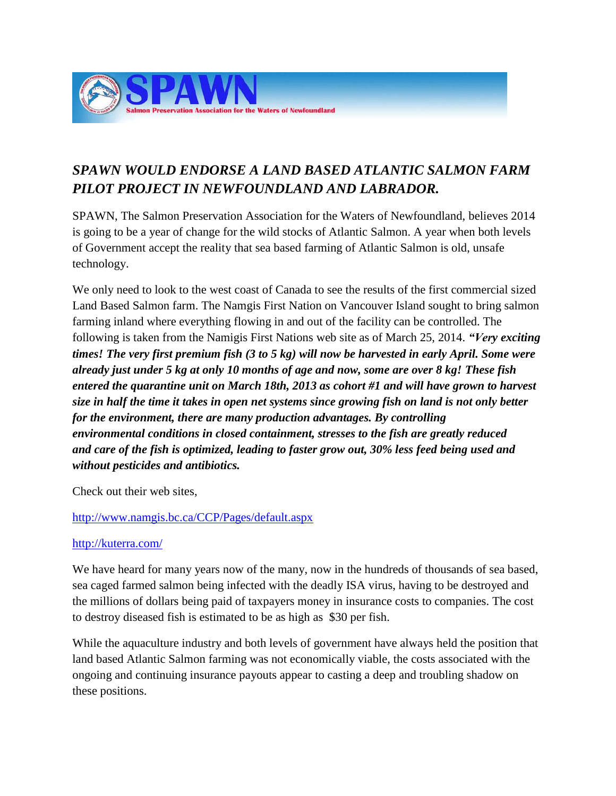

## *SPAWN WOULD ENDORSE A LAND BASED ATLANTIC SALMON FARM PILOT PROJECT IN NEWFOUNDLAND AND LABRADOR.*

SPAWN, The Salmon Preservation Association for the Waters of Newfoundland, believes 2014 is going to be a year of change for the wild stocks of Atlantic Salmon. A year when both levels of Government accept the reality that sea based farming of Atlantic Salmon is old, unsafe technology.

We only need to look to the west coast of Canada to see the results of the first commercial sized Land Based Salmon farm. The Namgis First Nation on Vancouver Island sought to bring salmon farming inland where everything flowing in and out of the facility can be controlled. The following is taken from the Namigis First Nations web site as of March 25, 2014. *"Very exciting times! The very first premium fish (3 to 5 kg) will now be harvested in early April. Some were already just under 5 kg at only 10 months of age and now, some are over 8 kg! These fish entered the quarantine unit on March 18th, 2013 as cohort #1 and will have grown to harvest size in half the time it takes in open net systems since growing fish on land is not only better for the environment, there are many production advantages. By controlling environmental conditions in closed containment, stresses to the fish are greatly reduced and care of the fish is optimized, leading to faster grow out, 30% less feed being used and without pesticides and antibiotics.*

Check out their web sites,

## <http://www.namgis.bc.ca/CCP/Pages/default.aspx>

## <http://kuterra.com/>

We have heard for many years now of the many, now in the hundreds of thousands of sea based, sea caged farmed salmon being infected with the deadly ISA virus, having to be destroyed and the millions of dollars being paid of taxpayers money in insurance costs to companies. The cost to destroy diseased fish is estimated to be as high as \$30 per fish.

While the aquaculture industry and both levels of government have always held the position that land based Atlantic Salmon farming was not economically viable, the costs associated with the ongoing and continuing insurance payouts appear to casting a deep and troubling shadow on these positions.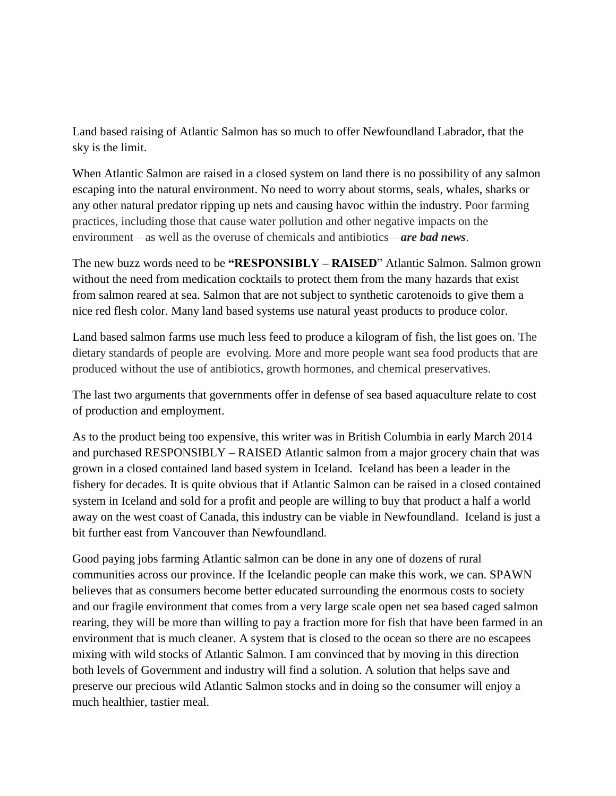Land based raising of Atlantic Salmon has so much to offer Newfoundland Labrador, that the sky is the limit.

When Atlantic Salmon are raised in a closed system on land there is no possibility of any salmon escaping into the natural environment. No need to worry about storms, seals, whales, sharks or any other natural predator ripping up nets and causing havoc within the industry. Poor farming practices, including those that cause water pollution and other negative impacts on the environment—as well as the overuse of chemicals and antibiotics—*are bad news*.

The new buzz words need to be **"RESPONSIBLY – RAISED**" Atlantic Salmon. Salmon grown without the need from medication cocktails to protect them from the many hazards that exist from salmon reared at sea. Salmon that are not subject to synthetic carotenoids to give them a nice red flesh color. Many land based systems use natural yeast products to produce color.

Land based salmon farms use much less feed to produce a kilogram of fish, the list goes on. The dietary standards of people are evolving. More and more people want sea food products that are produced without the use of antibiotics, growth hormones, and chemical preservatives.

The last two arguments that governments offer in defense of sea based aquaculture relate to cost of production and employment.

As to the product being too expensive, this writer was in British Columbia in early March 2014 and purchased RESPONSIBLY – RAISED Atlantic salmon from a major grocery chain that was grown in a closed contained land based system in Iceland. Iceland has been a leader in the fishery for decades. It is quite obvious that if Atlantic Salmon can be raised in a closed contained system in Iceland and sold for a profit and people are willing to buy that product a half a world away on the west coast of Canada, this industry can be viable in Newfoundland. Iceland is just a bit further east from Vancouver than Newfoundland.

Good paying jobs farming Atlantic salmon can be done in any one of dozens of rural communities across our province. If the Icelandic people can make this work, we can. SPAWN believes that as consumers become better educated surrounding the enormous costs to society and our fragile environment that comes from a very large scale open net sea based caged salmon rearing, they will be more than willing to pay a fraction more for fish that have been farmed in an environment that is much cleaner. A system that is closed to the ocean so there are no escapees mixing with wild stocks of Atlantic Salmon. I am convinced that by moving in this direction both levels of Government and industry will find a solution. A solution that helps save and preserve our precious wild Atlantic Salmon stocks and in doing so the consumer will enjoy a much healthier, tastier meal.